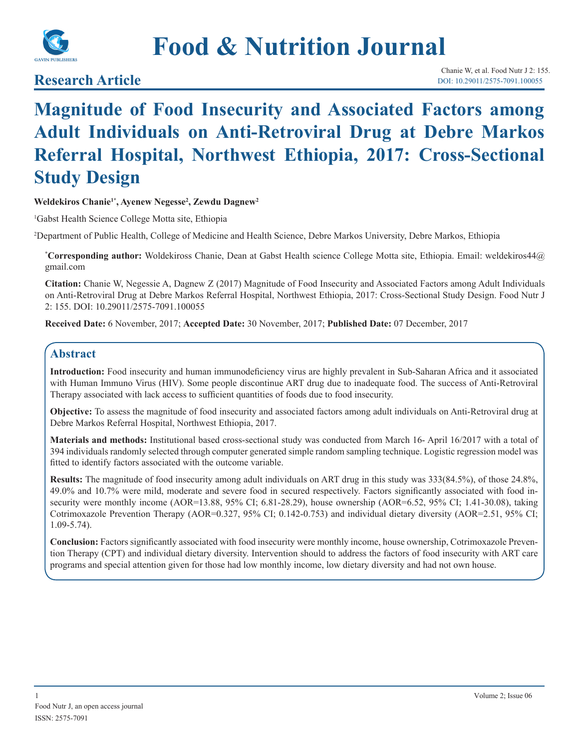

# **Food & Nutrition Journal**

**Research Article**

# **Magnitude of Food Insecurity and Associated Factors among Adult Individuals on Anti-Retroviral Drug at Debre Markos Referral Hospital, Northwest Ethiopia, 2017: Cross-Sectional Study Design**

**Weldekiros Chanie1\*, Ayenew Negesse2 , Zewdu Dagnew2**

1 Gabst Health Science College Motta site, Ethiopia

2 Department of Public Health, College of Medicine and Health Science, Debre Markos University, Debre Markos, Ethiopia

**\* Corresponding author:** Woldekiross Chanie, Dean at Gabst Health science College Motta site, Ethiopia. Email: weldekiros44@ gmail.com

**Citation:** Chanie W, Negessie A, Dagnew Z (2017) Magnitude of Food Insecurity and Associated Factors among Adult Individuals on Anti-Retroviral Drug at Debre Markos Referral Hospital, Northwest Ethiopia, 2017: Cross-Sectional Study Design. Food Nutr J 2: 155. DOI: 10.29011/2575-7091.100055

**Received Date:** 6 November, 2017; **Accepted Date:** 30 November, 2017; **Published Date:** 07 December, 2017

# **Abstract**

**Introduction:** Food insecurity and human immunodeficiency virus are highly prevalent in Sub-Saharan Africa and it associated with Human Immuno Virus (HIV). Some people discontinue ART drug due to inadequate food. The success of Anti-Retroviral Therapy associated with lack access to sufficient quantities of foods due to food insecurity.

**Objective:** To assess the magnitude of food insecurity and associated factors among adult individuals on Anti-Retroviral drug at Debre Markos Referral Hospital, Northwest Ethiopia, 2017.

**Materials and methods:** Institutional based cross-sectional study was conducted from March 16- April 16/2017 with a total of 394 individuals randomly selected through computer generated simple random sampling technique. Logistic regression model was fitted to identify factors associated with the outcome variable.

**Results:** The magnitude of food insecurity among adult individuals on ART drug in this study was 333(84.5%), of those 24.8%, 49.0% and 10.7% were mild, moderate and severe food in secured respectively. Factors significantly associated with food insecurity were monthly income (AOR=13.88, 95% CI; 6.81-28.29), house ownership (AOR=6.52, 95% CI; 1.41-30.08), taking Cotrimoxazole Prevention Therapy (AOR=0.327, 95% CI; 0.142-0.753) and individual dietary diversity (AOR=2.51, 95% CI; 1.09-5.74).

**Conclusion:** Factors significantly associated with food insecurity were monthly income, house ownership, Cotrimoxazole Prevention Therapy (CPT) and individual dietary diversity. Intervention should to address the factors of food insecurity with ART care programs and special attention given for those had low monthly income, low dietary diversity and had not own house.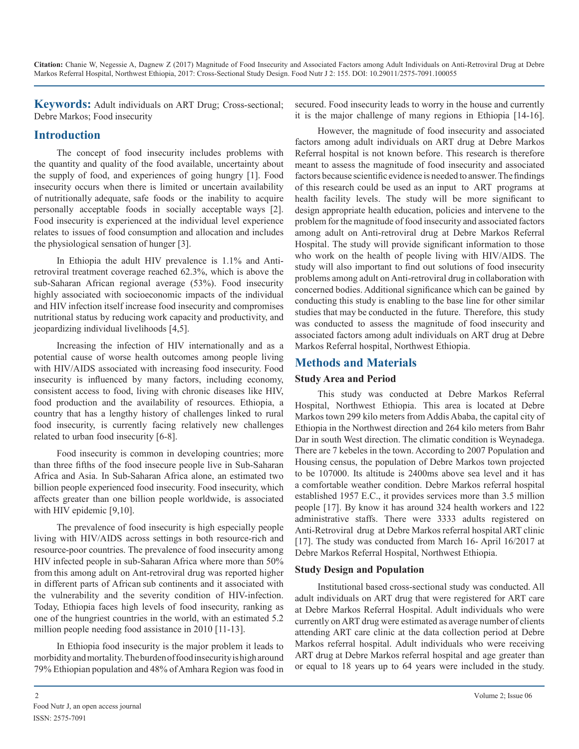**Keywords:** Adult individuals on ART Drug; Cross-sectional; Debre Markos; Food insecurity

# **Introduction**

The concept of food insecurity includes problems with the quantity and quality of the food available, uncertainty about the supply of food, and experiences of going hungry [1]. Food insecurity occurs when there is limited or uncertain availability of nutritionally adequate, safe foods or the inability to acquire personally acceptable foods in socially acceptable ways [2]. Food insecurity is experienced at the individual level experience relates to issues of food consumption and allocation and includes the physiological sensation of hunger [3].

In Ethiopia the adult HIV prevalence is 1.1% and Antiretroviral treatment coverage reached 62.3%, which is above the sub-Saharan African regional average (53%). Food insecurity highly associated with socioeconomic impacts of the individual and HIV infection itself increase food insecurity and compromises nutritional status by reducing work capacity and productivity, and jeopardizing individual livelihoods [4,5].

Increasing the infection of HIV internationally and as a potential cause of worse health outcomes among people living with HIV/AIDS associated with increasing food insecurity. Food insecurity is influenced by many factors, including economy, consistent access to food, living with chronic diseases like HIV, food production and the availability of resources. Ethiopia, a country that has a lengthy history of challenges linked to rural food insecurity, is currently facing relatively new challenges related to urban food insecurity [6-8].

Food insecurity is common in developing countries; more than three fifths of the food insecure people live in Sub-Saharan Africa and Asia. In Sub-Saharan Africa alone, an estimated two billion people experienced food insecurity. Food insecurity, which affects greater than one billion people worldwide, is associated with HIV epidemic [9,10].

The prevalence of food insecurity is high especially people living with HIV/AIDS across settings in both resource-rich and resource-poor countries. The prevalence of food insecurity among HIV infected people in sub-Saharan Africa where more than 50% from this among adult on Ant-retroviral drug was reported higher in different parts of African sub continents and it associated with the vulnerability and the severity condition of HIV-infection. Today, Ethiopia faces high levels of food insecurity, ranking as one of the hungriest countries in the world, with an estimated 5.2 million people needing food assistance in 2010 [11-13].

In Ethiopia food insecurity is the major problem it leads to morbidity and mortality. The burden of food insecurity is high around 79% Ethiopian population and 48% of Amhara Region was food in secured. Food insecurity leads to worry in the house and currently it is the major challenge of many regions in Ethiopia [14-16].

However, the magnitude of food insecurity and associated factors among adult individuals on ART drug at Debre Markos Referral hospital is not known before. This research is therefore meant to assess the magnitude of food insecurity and associated factors because scientific evidence is needed to answer. The findings of this research could be used as an input to ART programs at health facility levels. The study will be more significant to design appropriate health education, policies and intervene to the problem for the magnitude of food insecurity and associated factors among adult on Anti-retroviral drug at Debre Markos Referral Hospital. The study will provide significant information to those who work on the health of people living with HIV/AIDS. The study will also important to find out solutions of food insecurity problems among adult on Anti-retroviral drug in collaboration with concerned bodies. Additional significance which can be gained by conducting this study is enabling to the base line for other similar studies that may be conducted in the future. Therefore, this study was conducted to assess the magnitude of food insecurity and associated factors among adult individuals on ART drug at Debre Markos Referral hospital, Northwest Ethiopia.

# **Methods and Materials**

# **Study Area and Period**

This study was conducted at Debre Markos Referral Hospital, Northwest Ethiopia. This area is located at Debre Markos town 299 kilo meters from Addis Ababa, the capital city of Ethiopia in the Northwest direction and 264 kilo meters from Bahr Dar in south West direction. The climatic condition is Weynadega. There are 7 kebeles in the town. According to 2007 Population and Housing census, the population of Debre Markos town projected to be 107000. Its altitude is 2400ms above sea level and it has a comfortable weather condition. Debre Markos referral hospital established 1957 E.C., it provides services more than 3.5 million people [17]. By know it has around 324 health workers and 122 administrative staffs. There were 3333 adults registered on Anti-Retroviral drug at Debre Markos referral hospital ART clinic [17]. The study was conducted from March 16- April 16/2017 at Debre Markos Referral Hospital, Northwest Ethiopia.

# **Study Design and Population**

Institutional based cross-sectional study was conducted. All adult individuals on ART drug that were registered for ART care at Debre Markos Referral Hospital. Adult individuals who were currently on ART drug were estimated as average number of clients attending ART care clinic at the data collection period at Debre Markos referral hospital. Adult individuals who were receiving ART drug at Debre Markos referral hospital and age greater than or equal to 18 years up to 64 years were included in the study.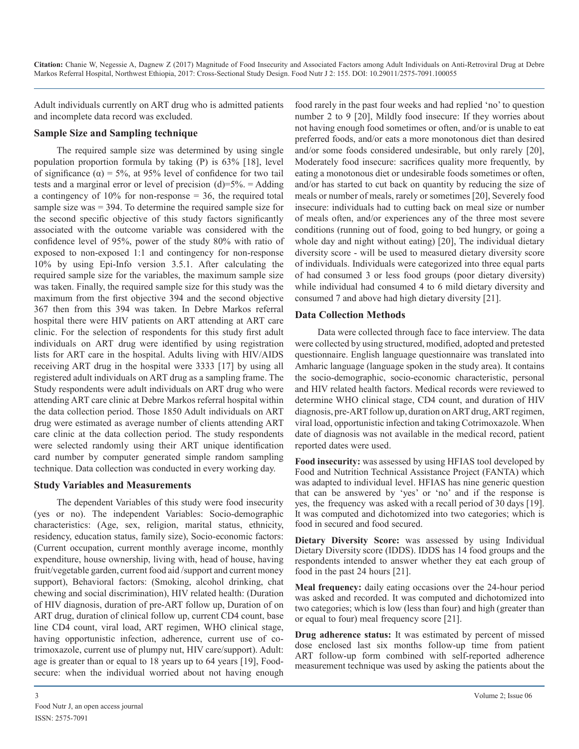Adult individuals currently on ART drug who is admitted patients and incomplete data record was excluded.

#### **Sample Size and Sampling technique**

The required sample size was determined by using single population proportion formula by taking (P) is 63% [18], level of significance ( $\alpha$ ) = 5%, at 95% level of confidence for two tail tests and a marginal error or level of precision  $(d)=5\% =$  Adding a contingency of  $10\%$  for non-response = 36, the required total sample size was = 394. To determine the required sample size for the second specific objective of this study factors significantly associated with the outcome variable was considered with the confidence level of 95%, power of the study 80% with ratio of exposed to non-exposed 1:1 and contingency for non-response 10% by using Epi-Info version 3.5.1. After calculating the required sample size for the variables, the maximum sample size was taken. Finally, the required sample size for this study was the maximum from the first objective 394 and the second objective 367 then from this 394 was taken. In Debre Markos referral hospital there were HIV patients on ART attending at ART care clinic. For the selection of respondents for this study first adult individuals on ART drug were identified by using registration lists for ART care in the hospital. Adults living with HIV/AIDS receiving ART drug in the hospital were 3333 [17] by using all registered adult individuals on ART drug as a sampling frame. The Study respondents were adult individuals on ART drug who were attending ART care clinic at Debre Markos referral hospital within the data collection period. Those 1850 Adult individuals on ART drug were estimated as average number of clients attending ART care clinic at the data collection period. The study respondents were selected randomly using their ART unique identification card number by computer generated simple random sampling technique. Data collection was conducted in every working day.

#### **Study Variables and Measurements**

The dependent Variables of this study were food insecurity (yes or no). The independent Variables: Socio-demographic characteristics: (Age, sex, religion, marital status, ethnicity, residency, education status, family size), Socio-economic factors: (Current occupation, current monthly average income, monthly expenditure, house ownership, living with, head of house, having fruit/vegetable garden, current food aid /support and current money support), Behavioral factors: (Smoking, alcohol drinking, chat chewing and social discrimination), HIV related health: (Duration of HIV diagnosis, duration of pre-ART follow up, Duration of on ART drug, duration of clinical follow up, current CD4 count, base line CD4 count, viral load, ART regimen, WHO clinical stage, having opportunistic infection, adherence, current use of cotrimoxazole, current use of plumpy nut, HIV care/support). Adult: age is greater than or equal to 18 years up to 64 years [19], Foodsecure: when the individual worried about not having enough

food rarely in the past four weeks and had replied 'no' to question number 2 to 9 [20], Mildly food insecure: If they worries about not having enough food sometimes or often, and/or is unable to eat preferred foods, and/or eats a more monotonous diet than desired and/or some foods considered undesirable, but only rarely [20], Moderately food insecure: sacrifices quality more frequently, by eating a monotonous diet or undesirable foods sometimes or often, and/or has started to cut back on quantity by reducing the size of meals or number of meals, rarely or sometimes [20], Severely food insecure: individuals had to cutting back on meal size or number of meals often, and/or experiences any of the three most severe conditions (running out of food, going to bed hungry, or going a whole day and night without eating) [20], The individual dietary diversity score - will be used to measured dietary diversity score of individuals. Individuals were categorized into three equal parts of had consumed 3 or less food groups (poor dietary diversity) while individual had consumed 4 to 6 mild dietary diversity and consumed 7 and above had high dietary diversity [21].

#### **Data Collection Methods**

Data were collected through face to face interview. The data were collected by using structured, modified, adopted and pretested questionnaire. English language questionnaire was translated into Amharic language (language spoken in the study area). It contains the socio-demographic, socio-economic characteristic, personal and HIV related health factors. Medical records were reviewed to determine WHO clinical stage, CD4 count, and duration of HIV diagnosis, pre-ART follow up, duration on ART drug, ART regimen, viral load, opportunistic infection and taking Cotrimoxazole. When date of diagnosis was not available in the medical record, patient reported dates were used.

**Food insecurity:** was assessed by using HFIAS tool developed by Food and Nutrition Technical Assistance Project (FANTA) which was adapted to individual level. HFIAS has nine generic question that can be answered by 'yes' or 'no' and if the response is yes, the frequency was asked with a recall period of 30 days [19]. It was computed and dichotomized into two categories; which is food in secured and food secured.

**Dietary Diversity Score:** was assessed by using Individual Dietary Diversity score (IDDS). IDDS has 14 food groups and the respondents intended to answer whether they eat each group of food in the past 24 hours [21].

**Meal frequency:** daily eating occasions over the 24-hour period was asked and recorded. It was computed and dichotomized into two categories; which is low (less than four) and high (greater than or equal to four) meal frequency score [21].

**Drug adherence status:** It was estimated by percent of missed dose enclosed last six months follow-up time from patient ART follow-up form combined with self-reported adherence measurement technique was used by asking the patients about the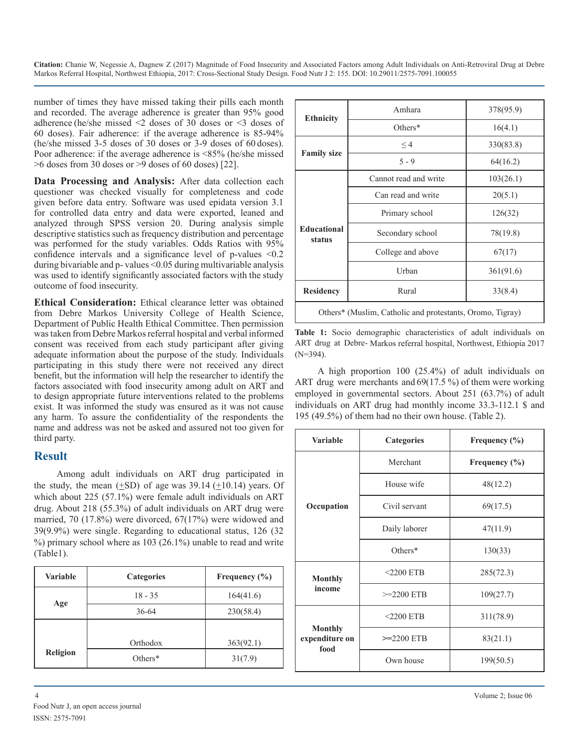number of times they have missed taking their pills each month and recorded. The average adherence is greater than 95% good adherence (he/she missed <2 doses of 30 doses or <3 doses of 60 doses). Fair adherence: if the average adherence is 85-94% (he/she missed 3-5 doses of 30 doses or 3-9 doses of 60 doses). Poor adherence: if the average adherence is <85% (he/she missed  $>6$  doses from 30 doses or  $>9$  doses of 60 doses) [22].

**Data Processing and Analysis:** After data collection each questioner was checked visually for completeness and code given before data entry. Software was used epidata version 3.1 for controlled data entry and data were exported, leaned and analyzed through SPSS version 20. During analysis simple descriptive statistics such as frequency distribution and percentage was performed for the study variables. Odds Ratios with 95% confidence intervals and a significance level of p-values <0.2 during bivariable and p- values <0.05 during multivariable analysis was used to identify significantly associated factors with the study outcome of food insecurity.

**Ethical Consideration:** Ethical clearance letter was obtained from Debre Markos University College of Health Science, Department of Public Health Ethical Committee. Then permission was taken from Debre Markos referral hospital and verbal informed consent was received from each study participant after giving adequate information about the purpose of the study. Individuals participating in this study there were not received any direct benefit, but the information will help the researcher to identify the factors associated with food insecurity among adult on ART and to design appropriate future interventions related to the problems exist. It was informed the study was ensured as it was not cause any harm. To assure the confidentiality of the respondents the name and address was not be asked and assured not too given for third party.

# **Result**

Among adult individuals on ART drug participated in the study, the mean  $(+SD)$  of age was 39.14  $(+10.14)$  years. Of which about 225 (57.1%) were female adult individuals on ART drug. About 218 (55.3%) of adult individuals on ART drug were married, 70 (17.8%) were divorced, 67(17%) were widowed and 39(9.9%) were single. Regarding to educational status, 126 (32 %) primary school where as 103 (26.1%) unable to read and write (Table1).

| Variable        | <b>Categories</b> | Frequency (%) |  |  |
|-----------------|-------------------|---------------|--|--|
|                 | $18 - 35$         | 164(41.6)     |  |  |
| Age             | $36 - 64$         | 230(58.4)     |  |  |
|                 |                   |               |  |  |
| <b>Religion</b> | Orthodox          | 363(92.1)     |  |  |
|                 | Others $*$        | 31(7.9)       |  |  |

| <b>Ethnicity</b>                                          | Amhara                | 378(95.9) |  |
|-----------------------------------------------------------|-----------------------|-----------|--|
|                                                           | Others*               | 16(4.1)   |  |
| <b>Family size</b>                                        | $\leq$ 4              | 330(83.8) |  |
|                                                           | $5 - 9$               | 64(16.2)  |  |
| <b>Educational</b><br>status                              | Cannot read and write | 103(26.1) |  |
|                                                           | Can read and write    | 20(5.1)   |  |
|                                                           | Primary school        | 126(32)   |  |
|                                                           | Secondary school      | 78(19.8)  |  |
|                                                           | College and above     | 67(17)    |  |
|                                                           | Urban                 | 361(91.6) |  |
| <b>Residency</b>                                          | Rural                 | 33(8.4)   |  |
| Others* (Muslim, Catholic and protestants, Oromo, Tigray) |                       |           |  |

**Table 1:** Socio demographic characteristics of adult individuals on ART drug at Debre- Markos referral hospital, Northwest, Ethiopia 2017 (N=394).

A high proportion 100 (25.4%) of adult individuals on ART drug were merchants and 69(17.5 %) of them were working employed in governmental sectors. About 251 (63.7%) of adult individuals on ART drug had monthly income 33.3-112.1 \$ and 195 (49.5%) of them had no their own house. (Table 2).

| <b>Variable</b>                          | Categories<br>Frequency $(\% )$ |                   |  |  |
|------------------------------------------|---------------------------------|-------------------|--|--|
| Occupation                               | Merchant                        | Frequency $(\% )$ |  |  |
|                                          | House wife                      | 48(12.2)          |  |  |
|                                          | Civil servant                   | 69(17.5)          |  |  |
|                                          | Daily laborer                   | 47(11.9)          |  |  |
|                                          | Others*                         | 130(33)           |  |  |
| <b>Monthly</b><br>income                 | $<$ 2200 ETB                    | 285(72.3)         |  |  |
|                                          | $>=2200$ ETB                    | 109(27.7)         |  |  |
|                                          | $<$ 2200 ETB                    | 311(78.9)         |  |  |
| <b>Monthly</b><br>expenditure on<br>food | $>= 2200$ ETB                   | 83(21.1)          |  |  |
|                                          | Own house                       | 199(50.5)         |  |  |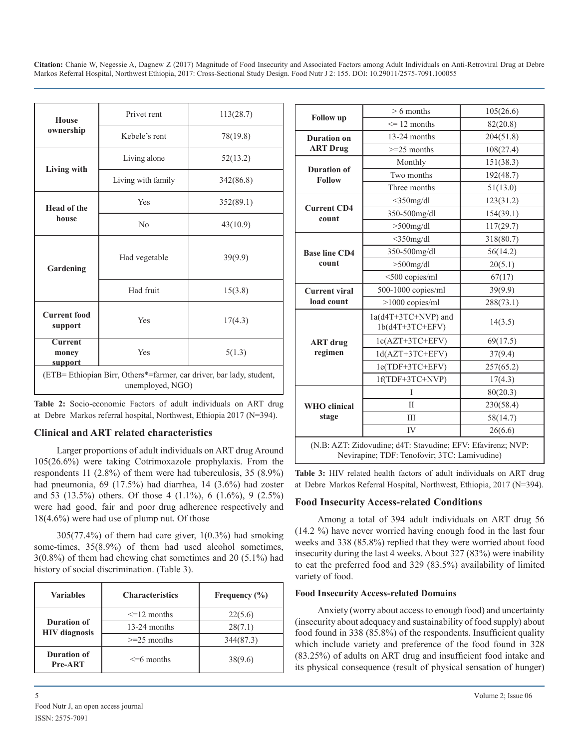| <b>House</b>                                                                             | Privet rent        | 113(28.7) |  |
|------------------------------------------------------------------------------------------|--------------------|-----------|--|
| ownership                                                                                | Kebele's rent      | 78(19.8)  |  |
| Living with                                                                              | Living alone       | 52(13.2)  |  |
|                                                                                          | Living with family | 342(86.8) |  |
| <b>Head of the</b><br>house                                                              | Yes                | 352(89.1) |  |
|                                                                                          | No                 | 43(10.9)  |  |
| Gardening                                                                                | Had vegetable      | 39(9.9)   |  |
|                                                                                          | Had fruit          | 15(3.8)   |  |
| <b>Current food</b><br>support                                                           | Yes                | 17(4.3)   |  |
| <b>Current</b><br>money<br>support                                                       | Yes<br>5(1.3)      |           |  |
| (ETB= Ethiopian Birr, Others*=farmer, car driver, bar lady, student,<br>unemployed, NGO) |                    |           |  |

**Table 2:** Socio-economic Factors of adult individuals on ART drug at Debre Markos referral hospital, Northwest, Ethiopia 2017 (N=394).

#### **Clinical and ART related characteristics**

Larger proportions of adult individuals on ART drug Around 105(26.6%) were taking Cotrimoxazole prophylaxis. From the respondents 11 (2.8%) of them were had tuberculosis, 35 (8.9%) had pneumonia, 69 (17.5%) had diarrhea, 14 (3.6%) had zoster and 53 (13.5%) others. Of those 4 (1.1%), 6 (1.6%), 9 (2.5%) were had good, fair and poor drug adherence respectively and 18(4.6%) were had use of plump nut. Of those

305(77.4%) of them had care giver, 1(0.3%) had smoking some-times,  $35(8.9\%)$  of them had used alcohol sometimes, 3(0.8%) of them had chewing chat sometimes and 20 (5.1%) had history of social discrimination. (Table 3).

| <b>Variables</b>                    | <b>Characteristics</b> | Frequency $(\% )$ |  |
|-------------------------------------|------------------------|-------------------|--|
|                                     | $\leq$ 12 months       | 22(5.6)           |  |
| Duration of<br><b>HIV</b> diagnosis | 13-24 months           | 28(7.1)           |  |
|                                     | $>=25$ months          | 344(87.3)         |  |
| Duration of<br><b>Pre-ART</b>       | $\leq$ 6 months        |                   |  |

|                                     | $> 6$ months                                                                                                | 105(26.6) |  |
|-------------------------------------|-------------------------------------------------------------------------------------------------------------|-----------|--|
| <b>Follow</b> up                    | $\leq$ 12 months                                                                                            | 82(20.8)  |  |
| <b>Duration</b> on                  | 13-24 months                                                                                                | 204(51.8) |  |
| <b>ART Drug</b>                     | $>=25$ months                                                                                               | 108(27.4) |  |
|                                     | Monthly                                                                                                     | 151(38.3) |  |
| <b>Duration of</b><br><b>Follow</b> | Two months                                                                                                  | 192(48.7) |  |
|                                     | Three months                                                                                                | 51(13.0)  |  |
|                                     | $<$ 350mg/dl                                                                                                | 123(31.2) |  |
| <b>Current CD4</b><br>count         | 350-500mg/dl                                                                                                | 154(39.1) |  |
|                                     | $>500$ mg/dl                                                                                                | 117(29.7) |  |
|                                     | $<$ 350mg/dl                                                                                                | 318(80.7) |  |
| <b>Base line CD4</b>                | 350-500mg/dl                                                                                                | 56(14.2)  |  |
| count                               | $>500$ mg/dl                                                                                                | 20(5.1)   |  |
|                                     | <500 copies/ml                                                                                              | 67(17)    |  |
| <b>Current viral</b>                | 500-1000 copies/ml                                                                                          | 39(9.9)   |  |
| load count                          | $>1000$ copies/ml                                                                                           | 288(73.1) |  |
|                                     | $1a(d4T+3TC+NVP)$ and<br>$1b(d4T+3TC+EFV)$                                                                  | 14(3.5)   |  |
| <b>ART</b> drug                     | $lc(AZT+3TC+EFV)$                                                                                           | 69(17.5)  |  |
| regimen                             | $1d(AZT+3TC+EFV)$                                                                                           | 37(9.4)   |  |
|                                     | 1e(TDF+3TC+EFV)                                                                                             | 257(65.2) |  |
|                                     | 1f(TDF+3TC+NVP)                                                                                             | 17(4.3)   |  |
|                                     | L                                                                                                           | 80(20.3)  |  |
| <b>WHO</b> clinical                 | Π                                                                                                           | 230(58.4) |  |
| stage                               | IΙI                                                                                                         | 58(14.7)  |  |
|                                     | IV                                                                                                          | 26(6.6)   |  |
|                                     | (N.B: AZT: Zidovudine; d4T: Stavudine; EFV: Efavirenz; NVP:<br>Nevirapine; TDF: Tenofovir; 3TC: Lamivudine) |           |  |

**Table 3:** HIV related health factors of adult individuals on ART drug at Debre Markos Referral Hospital, Northwest, Ethiopia, 2017 (N=394).

# **Food Insecurity Access-related Conditions**

Among a total of 394 adult individuals on ART drug 56 (14.2 %) have never worried having enough food in the last four weeks and 338 (85.8%) replied that they were worried about food insecurity during the last 4 weeks. About 327 (83%) were inability to eat the preferred food and 329 (83.5%) availability of limited variety of food.

#### **Food Insecurity Access-related Domains**

Anxiety (worry about access to enough food) and uncertainty (insecurity about adequacy and sustainability of food supply) about food found in 338 (85.8%) of the respondents. Insufficient quality which include variety and preference of the food found in 328 (83.25%) of adults on ART drug and insufficient food intake and its physical consequence (result of physical sensation of hunger)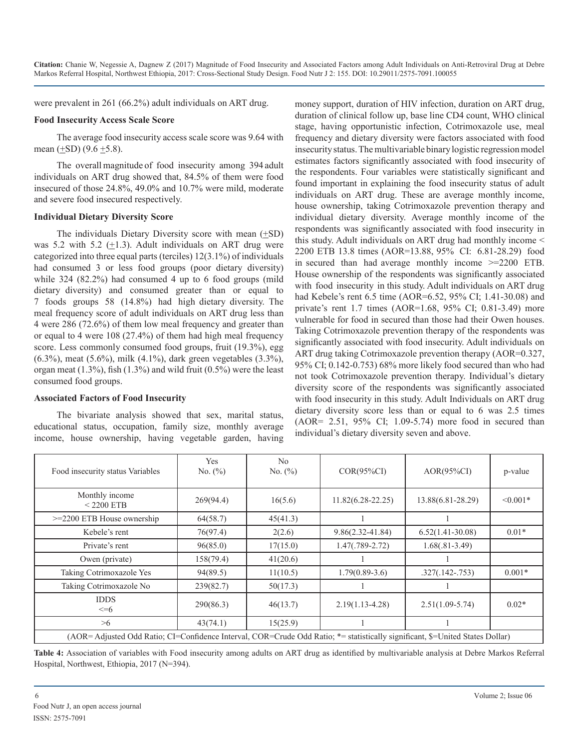were prevalent in 261 (66.2%) adult individuals on ART drug.

#### **Food Insecurity Access Scale Score**

The average food insecurity access scale score was 9.64 with mean  $(\pm SD)$  (9.6  $\pm$ 5.8).

The overall magnitude of food insecurity among 394 adult individuals on ART drug showed that, 84.5% of them were food insecured of those 24.8%, 49.0% and 10.7% were mild, moderate and severe food insecured respectively.

#### **Individual Dietary Diversity Score**

The individuals Dietary Diversity score with mean  $(\pm SD)$ was 5.2 with 5.2  $(\pm 1.3)$ . Adult individuals on ART drug were categorized into three equal parts (terciles) 12(3.1%) of individuals had consumed 3 or less food groups (poor dietary diversity) while 324 (82.2%) had consumed 4 up to 6 food groups (mild dietary diversity) and consumed greater than or equal to 7 foods groups 58 (14.8%) had high dietary diversity. The meal frequency score of adult individuals on ART drug less than 4 were 286 (72.6%) of them low meal frequency and greater than or equal to 4 were 108 (27.4%) of them had high meal frequency score. Less commonly consumed food groups, fruit (19.3%), egg (6.3%), meat (5.6%), milk (4.1%), dark green vegetables (3.3%), organ meat (1.3%), fish (1.3%) and wild fruit (0.5%) were the least consumed food groups.

#### **Associated Factors of Food Insecurity**

The bivariate analysis showed that sex, marital status, educational status, occupation, family size, monthly average income, house ownership, having vegetable garden, having money support, duration of HIV infection, duration on ART drug, duration of clinical follow up, base line CD4 count, WHO clinical stage, having opportunistic infection, Cotrimoxazole use, meal frequency and dietary diversity were factors associated with food insecurity status. The multivariable binary logistic regression model estimates factors significantly associated with food insecurity of the respondents. Four variables were statistically significant and found important in explaining the food insecurity status of adult individuals on ART drug. These are average monthly income, house ownership, taking Cotrimoxazole prevention therapy and individual dietary diversity. Average monthly income of the respondents was significantly associated with food insecurity in this study. Adult individuals on ART drug had monthly income < 2200 ETB 13.8 times (AOR=13.88, 95% CI: 6.81-28.29) food in secured than had average monthly income >=2200 ETB. House ownership of the respondents was significantly associated with food insecurity in this study. Adult individuals on ART drug had Kebele's rent 6.5 time (AOR=6.52, 95% CI; 1.41-30.08) and private's rent 1.7 times (AOR=1.68, 95% CI; 0.81-3.49) more vulnerable for food in secured than those had their Owen houses. Taking Cotrimoxazole prevention therapy of the respondents was significantly associated with food insecurity. Adult individuals on ART drug taking Cotrimoxazole prevention therapy (AOR=0.327, 95% CI; 0.142-0.753) 68% more likely food secured than who had not took Cotrimoxazole prevention therapy. Individual's dietary diversity score of the respondents was significantly associated with food insecurity in this study. Adult Individuals on ART drug dietary diversity score less than or equal to 6 was 2.5 times (AOR= 2.51, 95% CI; 1.09-5.74) more food in secured than individual's dietary diversity seven and above.

| Food insecurity status Variables                                                                                                 | Yes<br>No. $(\% )$ | N <sub>0</sub><br>No. $(\% )$ | $COR(95\%CI)$         | $AOR(95\%CI)$      | p-value    |
|----------------------------------------------------------------------------------------------------------------------------------|--------------------|-------------------------------|-----------------------|--------------------|------------|
| Monthly income<br>$<$ 2200 ETB                                                                                                   | 269(94.4)          | 16(5.6)                       | $11.82(6.28 - 22.25)$ | 13.88(6.81-28.29)  | $< 0.001*$ |
| >=2200 ETB House ownership                                                                                                       | 64(58.7)           | 45(41.3)                      |                       |                    |            |
| Kebele's rent                                                                                                                    | 76(97.4)           | 2(2.6)                        | $9.86(2.32 - 41.84)$  | $6.52(1.41-30.08)$ | $0.01*$    |
| Private's rent                                                                                                                   | 96(85.0)           | 17(15.0)                      | $1.47(.789-2.72)$     | $1.68(.81-3.49)$   |            |
| Owen (private)                                                                                                                   | 158(79.4)          | 41(20.6)                      |                       |                    |            |
| Taking Cotrimoxazole Yes                                                                                                         | 94(89.5)           | 11(10.5)                      | $1.79(0.89-3.6)$      | $.327(.142-.753)$  | $0.001*$   |
| Taking Cotrimoxazole No                                                                                                          | 239(82.7)          | 50(17.3)                      |                       |                    |            |
| <b>IDDS</b><br>$\leq=6$                                                                                                          | 290(86.3)          | 46(13.7)                      | $2.19(1.13 - 4.28)$   | $2.51(1.09-5.74)$  | $0.02*$    |
| >6                                                                                                                               | 43(74.1)           | 15(25.9)                      |                       |                    |            |
| $(1.00 - 1.1)$ and $(1.10 - 1.0)$ and $(1.00 - 1.0)$ and $(1.00 - 0.0)$ and $(1.00 - 1.0)$ and $(1.00 - 1.0)$ and $(1.00 - 1.0)$ |                    |                               |                       |                    |            |

(AOR= Adjusted Odd Ratio; CI=Confidence Interval, COR=Crude Odd Ratio; \*= statistically significant, \$=United States Dollar)

**Table 4:** Association of variables with Food insecurity among adults on ART drug as identified by multivariable analysis at Debre Markos Referral Hospital, Northwest, Ethiopia, 2017 (N=394).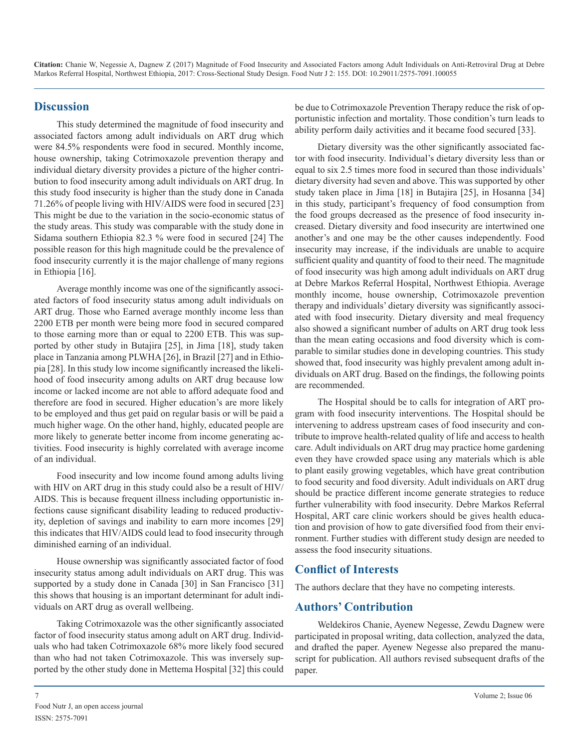### **Discussion**

This study determined the magnitude of food insecurity and associated factors among adult individuals on ART drug which were 84.5% respondents were food in secured. Monthly income, house ownership, taking Cotrimoxazole prevention therapy and individual dietary diversity provides a picture of the higher contribution to food insecurity among adult individuals on ART drug. In this study food insecurity is higher than the study done in Canada 71.26% of people living with HIV/AIDS were food in secured [23] This might be due to the variation in the socio-economic status of the study areas. This study was comparable with the study done in Sidama southern Ethiopia 82.3 % were food in secured [24] The possible reason for this high magnitude could be the prevalence of food insecurity currently it is the major challenge of many regions in Ethiopia [16].

Average monthly income was one of the significantly associated factors of food insecurity status among adult individuals on ART drug. Those who Earned average monthly income less than 2200 ETB per month were being more food in secured compared to those earning more than or equal to 2200 ETB. This was supported by other study in Butajira [25], in Jima [18], study taken place in Tanzania among PLWHA [26], in Brazil [27] and in Ethiopia [28]. In this study low income significantly increased the likelihood of food insecurity among adults on ART drug because low income or lacked income are not able to afford adequate food and therefore are food in secured. Higher education's are more likely to be employed and thus get paid on regular basis or will be paid a much higher wage. On the other hand, highly, educated people are more likely to generate better income from income generating activities. Food insecurity is highly correlated with average income of an individual.

Food insecurity and low income found among adults living with HIV on ART drug in this study could also be a result of HIV/ AIDS. This is because frequent illness including opportunistic infections cause significant disability leading to reduced productivity, depletion of savings and inability to earn more incomes [29] this indicates that HIV/AIDS could lead to food insecurity through diminished earning of an individual.

House ownership was significantly associated factor of food insecurity status among adult individuals on ART drug. This was supported by a study done in Canada [30] in San Francisco [31] this shows that housing is an important determinant for adult individuals on ART drug as overall wellbeing.

Taking Cotrimoxazole was the other significantly associated factor of food insecurity status among adult on ART drug. Individuals who had taken Cotrimoxazole 68% more likely food secured than who had not taken Cotrimoxazole. This was inversely supported by the other study done in Mettema Hospital [32] this could be due to Cotrimoxazole Prevention Therapy reduce the risk of opportunistic infection and mortality. Those condition's turn leads to ability perform daily activities and it became food secured [33].

Dietary diversity was the other significantly associated factor with food insecurity. Individual's dietary diversity less than or equal to six 2.5 times more food in secured than those individuals' dietary diversity had seven and above. This was supported by other study taken place in Jima [18] in Butajira [25], in Hosanna [34] in this study, participant's frequency of food consumption from the food groups decreased as the presence of food insecurity increased. Dietary diversity and food insecurity are intertwined one another's and one may be the other causes independently. Food insecurity may increase, if the individuals are unable to acquire sufficient quality and quantity of food to their need. The magnitude of food insecurity was high among adult individuals on ART drug at Debre Markos Referral Hospital, Northwest Ethiopia. Average monthly income, house ownership, Cotrimoxazole prevention therapy and individuals' dietary diversity was significantly associated with food insecurity. Dietary diversity and meal frequency also showed a significant number of adults on ART drug took less than the mean eating occasions and food diversity which is comparable to similar studies done in developing countries. This study showed that, food insecurity was highly prevalent among adult individuals on ART drug. Based on the findings, the following points are recommended.

The Hospital should be to calls for integration of ART program with food insecurity interventions. The Hospital should be intervening to address upstream cases of food insecurity and contribute to improve health-related quality of life and access to health care. Adult individuals on ART drug may practice home gardening even they have crowded space using any materials which is able to plant easily growing vegetables, which have great contribution to food security and food diversity. Adult individuals on ART drug should be practice different income generate strategies to reduce further vulnerability with food insecurity. Debre Markos Referral Hospital, ART care clinic workers should be gives health education and provision of how to gate diversified food from their environment. Further studies with different study design are needed to assess the food insecurity situations.

# **Conflict of Interests**

The authors declare that they have no competing interests.

# **Authors' Contribution**

Weldekiros Chanie, Ayenew Negesse, Zewdu Dagnew were participated in proposal writing, data collection, analyzed the data, and drafted the paper. Ayenew Negesse also prepared the manuscript for publication. All authors revised subsequent drafts of the paper.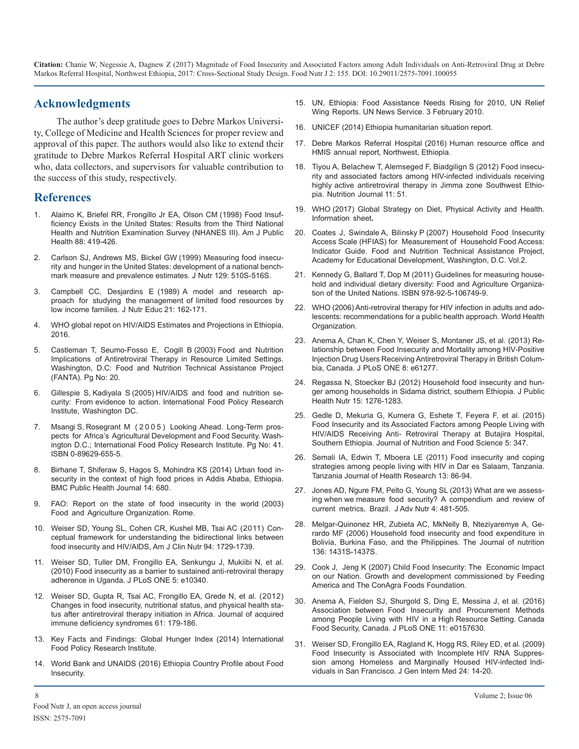## **Acknowledgments**

The author's deep gratitude goes to Debre Markos University, College of Medicine and Health Sciences for proper review and approval of this paper. The authors would also like to extend their gratitude to Debre Markos Referral Hospital ART clinic workers who, data collectors, and supervisors for valuable contribution to the success of this study, respectively.

#### **References**

- 1. Al[aimo K, Briefel RR, Frongillo Jr EA, Olson CM \(1998\) Food Insuf](https://www.ncbi.nlm.nih.gov/pmc/articles/PMC1508323/)fi[ciency Exists in the United States: Results from the Third National](https://www.ncbi.nlm.nih.gov/pmc/articles/PMC1508323/) [Health and Nutrition Examination Survey \(NHANES III\). Am J Public](https://www.ncbi.nlm.nih.gov/pmc/articles/PMC1508323/) [Health 88: 419-426.](https://www.ncbi.nlm.nih.gov/pmc/articles/PMC1508323/)
- 2. C[arlson SJ, Andrews MS, Bickel GW \(1999\) Measuring food insecu](https://www.ncbi.nlm.nih.gov/pubmed/10064320)[rity and hunger in the United States: development of a national bench](https://www.ncbi.nlm.nih.gov/pubmed/10064320)[mark measure and prevalence estimates. J Nutr 129: 510S-516S.](https://www.ncbi.nlm.nih.gov/pubmed/10064320)
- 3. C[ampbell CC, Desjardins E \(1989\) A model and research ap](https://www.sciencedirect.com/science/article/pii/S0022318289800524)[proach for studying the management of limited food resources by](https://www.sciencedirect.com/science/article/pii/S0022318289800524) [low income families. J Nutr Educ 21: 162-171.](https://www.sciencedirect.com/science/article/pii/S0022318289800524)
- 4. WHO global repot on HIV/AIDS Estimates and Projections in Ethiopia, 2016.
- 5. Castleman T, Seumo-Fosso E, Cogill B (2003) Food and Nutrition Implications of Antiretroviral Therapy in Resource Limited Settings. Washington, D.C: Food and Nutrition Technical Assistance Project (FANTA). Pg No: 20.
- 6. Gillespie S, Kadiyala S (2005) [HIV/AIDS and food and nutrition se](http://researchonline.lshtm.ac.uk/1440439/)[curity: From evidence to action. International Food Policy Research](http://researchonline.lshtm.ac.uk/1440439/) [Institute, Washington DC.](http://researchonline.lshtm.ac.uk/1440439/)
- 7. Msangi S, Rosegrant M ( 2 0 0 5 ) Looking Ahead. Long-Term prospects for Africa's Agricultural Development and Food Security. Washington D.C.; International Food Policy Research Institute. Pg No: 41. ISBN 0-89629-655-5.
- 8. [Birhane T, Shiferaw S, Hagos S, Mohindra KS \(2014\)](https://www.ncbi.nlm.nih.gov/pubmed/24993286) Urban food in[security in the context of high food prices in Addis Ababa, Ethiopia.](https://www.ncbi.nlm.nih.gov/pubmed/24993286)  [BMC Public Health Journal 14: 680.](https://www.ncbi.nlm.nih.gov/pubmed/24993286)
- 9. FAO: Report on the state of food insecurity in the world (2003) Food and Agriculture Organization. Rome.
- 10. [Weiser SD, Young SL, Cohen CR, Kushel MB, Tsai AC](https://www.ncbi.nlm.nih.gov/pubmed/22089434https:/www.ncbi.nlm.nih.gov/pubmed/22089434) (2011) Con[ceptual framework for understanding the bidirectional links between](https://www.ncbi.nlm.nih.gov/pubmed/22089434https:/www.ncbi.nlm.nih.gov/pubmed/22089434) [food insecurity and HIV/AIDS, Am J Clin Nutr 94: 1729-1739.](https://www.ncbi.nlm.nih.gov/pubmed/22089434https:/www.ncbi.nlm.nih.gov/pubmed/22089434)
- 11. [Weiser SD, Tuller DM, Frongillo EA, Senkungu J, Mukiibi N, et al.](https://www.ncbi.nlm.nih.gov/pubmed/20442769) [\(2010\) Food insecurity as a barrier to sustained anti-retroviral therapy](https://www.ncbi.nlm.nih.gov/pubmed/20442769)  [adherence in Uganda. J PLoS ONE 5: e10340.](https://www.ncbi.nlm.nih.gov/pubmed/20442769)
- 12. Weiser SD, Gupta R, Tsai AC, Frongillo EA, Grede N, et al. (2012) [Changes in food insecurity, nutritional status, and physical health sta](https://www.ncbi.nlm.nih.gov/pmc/articles/PMC3948100/)[tus after antiretroviral therapy initiation in Africa. Journal of acquired](https://www.ncbi.nlm.nih.gov/pmc/articles/PMC3948100/)  immune defi[ciency syndromes 61: 179-186.](https://www.ncbi.nlm.nih.gov/pmc/articles/PMC3948100/)
- 13. Key Facts and Findings: Global Hunger Index (2014) International Food Policy Research Institute.
- 14. World Bank and UNAIDS (2016) Ethiopia Country Profile about Food Insecurity.
- 15. UN, Ethiopia: Food Assistance Needs Rising for 2010, UN Relief Wing Reports. UN News Service. 3 February 2010.
- 16. UNICEF (2014) Ethiopia humanitarian situation report.
- 17. Debre Markos Referral Hospital (2016) Human resource office and HMIS annual report, Northwest, Ethiopia.
- 18. [Tiyou A, Belachew T, Alemseged F, Biadgilign S \(2012\)](https://www.ncbi.nlm.nih.gov/pubmed/22824145) Food insecu[rity and associated factors among HIV-infected individuals receiving](https://www.ncbi.nlm.nih.gov/pubmed/22824145)  [highly active antiretroviral therapy in Jimma zone Southwest Ethio](https://www.ncbi.nlm.nih.gov/pubmed/22824145)[pia. Nutrition Journal 11: 51.](https://www.ncbi.nlm.nih.gov/pubmed/22824145)
- 19. WHO (2017) Global Strategy on Diet, Physical Activity and Health. Information sheet**.**
- 20. Coates J, Swindale A, Bilinsky P (2007) Household Food Insecurity [Access Scale \(HFIAS\) for Measurement of Household Food Access:](http://www.fao.org/fileadmin/user_upload/eufao-fsi4dm/doc-training/hfias.pdf)  [Indicator Guide. Food and Nutrition Technical Assistance Project,](http://www.fao.org/fileadmin/user_upload/eufao-fsi4dm/doc-training/hfias.pdf) [Academy for Educational Development, Washington, D.C. Vol.2.](http://www.fao.org/fileadmin/user_upload/eufao-fsi4dm/doc-training/hfias.pdf)
- 21. K[ennedy G, Ballard T, Dop M \(2011\) Guidelines for measuring house](http://www.fao.org/fileadmin/user_upload/wa_workshop/docs/FAO-guidelines-dietary-diversity2011.pdfhttp:/www.foodsec.org/2016)[hold and individual dietary diversity: Food and Agriculture Organiza](http://www.fao.org/fileadmin/user_upload/wa_workshop/docs/FAO-guidelines-dietary-diversity2011.pdfhttp:/www.foodsec.org/2016)[tion of the United Nations. ISBN 978-92-5-106749-9.](http://www.fao.org/fileadmin/user_upload/wa_workshop/docs/FAO-guidelines-dietary-diversity2011.pdfhttp:/www.foodsec.org/2016)
- 22. WHO (2006) Anti-retroviral therapy for HIV infection in adults and adolescents: recommendations for a public health approach. World Health Organization.
- 23. [Anema A, Chan K, Chen Y, Weiser S, Montaner JS, et al. \(2013\) Re](https://www.ncbi.nlm.nih.gov/pubmed/23723968)[lationship between Food Insecurity and Mortality among HIV-Positive](https://www.ncbi.nlm.nih.gov/pubmed/23723968) [Injection Drug Users Receiving Antiretroviral Therapy in British Colum](https://www.ncbi.nlm.nih.gov/pubmed/23723968)[bia, Canada. J PLoS ONE 8: e61277.](https://www.ncbi.nlm.nih.gov/pubmed/23723968)
- 24. [Regassa N, Stoecker BJ \(2012\) Household food insecurity and hun](https://www.ncbi.nlm.nih.gov/pubmed/22152760https:/www.ncbi.nlm.nih.gov/pubmed/22152760)[ger among households in Sidama district, southern Ethiopia. J Public](https://www.ncbi.nlm.nih.gov/pubmed/22152760https:/www.ncbi.nlm.nih.gov/pubmed/22152760) [Health Nutr 15: 1276-1283.](https://www.ncbi.nlm.nih.gov/pubmed/22152760https:/www.ncbi.nlm.nih.gov/pubmed/22152760)
- 25. G[edle D, Mekuria G, Kumera G, Eshete T, Feyera F, et al. \(2015\)](https://www.omicsonline.org/open-access/food-insecurity-and-its-associated-factors-among-people-living-with-hivaids-receiving-antiretroviral-therapy-at-butajira-hospital-southern-ethiopia-2155-9600-1000347.php?aid=42271) [Food Insecurity and its Associated Factors among People Living with](https://www.omicsonline.org/open-access/food-insecurity-and-its-associated-factors-among-people-living-with-hivaids-receiving-antiretroviral-therapy-at-butajira-hospital-southern-ethiopia-2155-9600-1000347.php?aid=42271) [HIV/AIDS Receiving Anti- Retroviral Therapy at Butajira Hospital,](https://www.omicsonline.org/open-access/food-insecurity-and-its-associated-factors-among-people-living-with-hivaids-receiving-antiretroviral-therapy-at-butajira-hospital-southern-ethiopia-2155-9600-1000347.php?aid=42271)  [Southern Ethiopia. Journal of Nutrition and Food Science 5: 347.](https://www.omicsonline.org/open-access/food-insecurity-and-its-associated-factors-among-people-living-with-hivaids-receiving-antiretroviral-therapy-at-butajira-hospital-southern-ethiopia-2155-9600-1000347.php?aid=42271)
- 26. [Semali IA, Edwin T, Mboera LE \(2011\) Food insecurity and coping](https://www.ncbi.nlm.nih.gov/pubmed/26592052)  [strategies among people living with HIV in Dar es Salaam, Tanzania.](https://www.ncbi.nlm.nih.gov/pubmed/26592052) [Tanzania Journal of Health Research 13: 86-94.](https://www.ncbi.nlm.nih.gov/pubmed/26592052)
- 27. J[ones AD, Ngure FM, Pelto G, Young SL \(2013\) What are we assess](http://www.fao.org/fileadmin/templates/ess/documents/meetings_and_workshops/cfs40/001_What_Are_We_Assessing_When_We_Measure_Food_Secuirty.pdf)[ing when we measure food security? A compendium and review of](http://www.fao.org/fileadmin/templates/ess/documents/meetings_and_workshops/cfs40/001_What_Are_We_Assessing_When_We_Measure_Food_Secuirty.pdf) [current metrics, Brazil. J Adv Nutr 4: 481-505.](http://www.fao.org/fileadmin/templates/ess/documents/meetings_and_workshops/cfs40/001_What_Are_We_Assessing_When_We_Measure_Food_Secuirty.pdf)
- 28. [Melgar-Quinonez HR, Zubieta AC, MkNelly B, Nteziyaremye A, Ge](https://www.ncbi.nlm.nih.gov/pubmed/16614440)rardo MF (2006) Household food insecurity and food expenditure in [Bolivia, Burkina Faso, and the Philippines. The Journal of nutrition](https://www.ncbi.nlm.nih.gov/pubmed/16614440) [136: 1431S-1437S.](https://www.ncbi.nlm.nih.gov/pubmed/16614440)
- 29. Cook J, Jeng K (2007) Child Food Insecurity: The Economic Impact [on our Nation. Growth and development commissioned by Feeding](https://www.nokidhungry.org/sites/default/files/child-economy-study.pdf)  [America and The ConAgra Foods Foundation.](https://www.nokidhungry.org/sites/default/files/child-economy-study.pdf)
- 30. [Anema A, Fielden SJ, Shurgold S, Ding E, Messina J, et al. \(2016\)](https://www.ncbi.nlm.nih.gov/pubmed/27487041)  Association between Food Insecurity and Procurement Methods [among People Living with HIV in a High Resource Setting. Canada](https://www.ncbi.nlm.nih.gov/pubmed/27487041) [Food Security, Canada. J PLoS ONE 11: e0157630.](https://www.ncbi.nlm.nih.gov/pubmed/27487041)
- 31. [Weiser SD, Frongillo EA, Ragland K, Hogg RS, Riley ED, et al. \(2009\)](https://www.ncbi.nlm.nih.gov/pubmed/18953617) [Food Insecurity is Associated with Incomplete HIV RNA Suppres](https://www.ncbi.nlm.nih.gov/pubmed/18953617)[sion among Homeless and Marginally Housed HIV-infected Indi](https://www.ncbi.nlm.nih.gov/pubmed/18953617)[viduals in San Francisco. J Gen Intern Med 24: 14-20.](https://www.ncbi.nlm.nih.gov/pubmed/18953617)